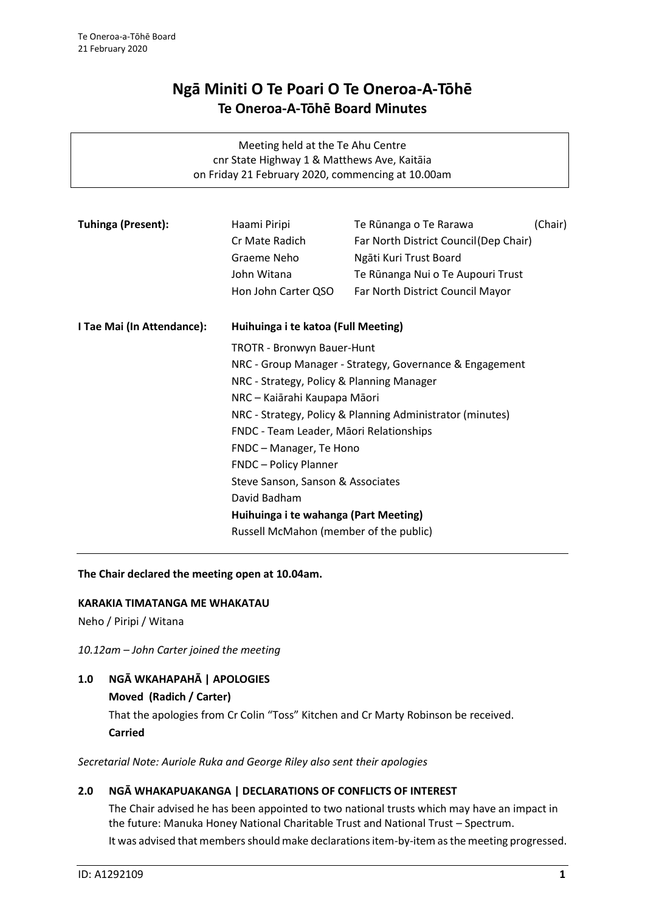# **Ngā Miniti O Te Poari O Te Oneroa-A-Tōhē Te Oneroa-A-Tōhē Board Minutes**

| Meeting held at the Te Ahu Centre<br>cnr State Highway 1 & Matthews Ave, Kaitāia<br>on Friday 21 February 2020, commencing at 10.00am |                                                                                                                                                                                                                                                                                                   |                                                                                                                                                                     |         |
|---------------------------------------------------------------------------------------------------------------------------------------|---------------------------------------------------------------------------------------------------------------------------------------------------------------------------------------------------------------------------------------------------------------------------------------------------|---------------------------------------------------------------------------------------------------------------------------------------------------------------------|---------|
| <b>Tuhinga (Present):</b>                                                                                                             | Haami Piripi<br>Cr Mate Radich<br>Graeme Neho<br>John Witana<br>Hon John Carter QSO                                                                                                                                                                                                               | Te Rūnanga o Te Rarawa<br>Far North District Council (Dep Chair)<br>Ngāti Kuri Trust Board<br>Te Rūnanga Nui o Te Aupouri Trust<br>Far North District Council Mayor | (Chair) |
| I Tae Mai (In Attendance):                                                                                                            | Huihuinga i te katoa (Full Meeting)<br><b>TROTR - Bronwyn Bauer-Hunt</b><br>NRC - Group Manager - Strategy, Governance & Engagement                                                                                                                                                               |                                                                                                                                                                     |         |
|                                                                                                                                       | NRC - Strategy, Policy & Planning Manager<br>NRC – Kaiārahi Kaupapa Māori<br>NRC - Strategy, Policy & Planning Administrator (minutes)<br>FNDC - Team Leader, Māori Relationships<br>FNDC - Manager, Te Hono<br><b>FNDC</b> - Policy Planner<br>Steve Sanson, Sanson & Associates<br>David Badham |                                                                                                                                                                     |         |
|                                                                                                                                       |                                                                                                                                                                                                                                                                                                   |                                                                                                                                                                     |         |
| Huihuinga i te wahanga (Part Meeting)<br>Russell McMahon (member of the public)                                                       |                                                                                                                                                                                                                                                                                                   |                                                                                                                                                                     |         |

# **The Chair declared the meeting open at 10.04am.**

# **KARAKIA TIMATANGA ME WHAKATAU**

Neho / Piripi / Witana

*10.12am – John Carter joined the meeting*

# **1.0 NGĀ WKAHAPAHĀ | APOLOGIES**

# **Moved (Radich / Carter)**

That the apologies from Cr Colin "Toss" Kitchen and Cr Marty Robinson be received. **Carried**

*Secretarial Note: Auriole Ruka and George Riley also sent their apologies*

# **2.0 NGĀ WHAKAPUAKANGA | DECLARATIONS OF CONFLICTS OF INTEREST**

The Chair advised he has been appointed to two national trusts which may have an impact in the future: Manuka Honey National Charitable Trust and National Trust – Spectrum. It was advised that members should make declarations item-by-item as the meeting progressed.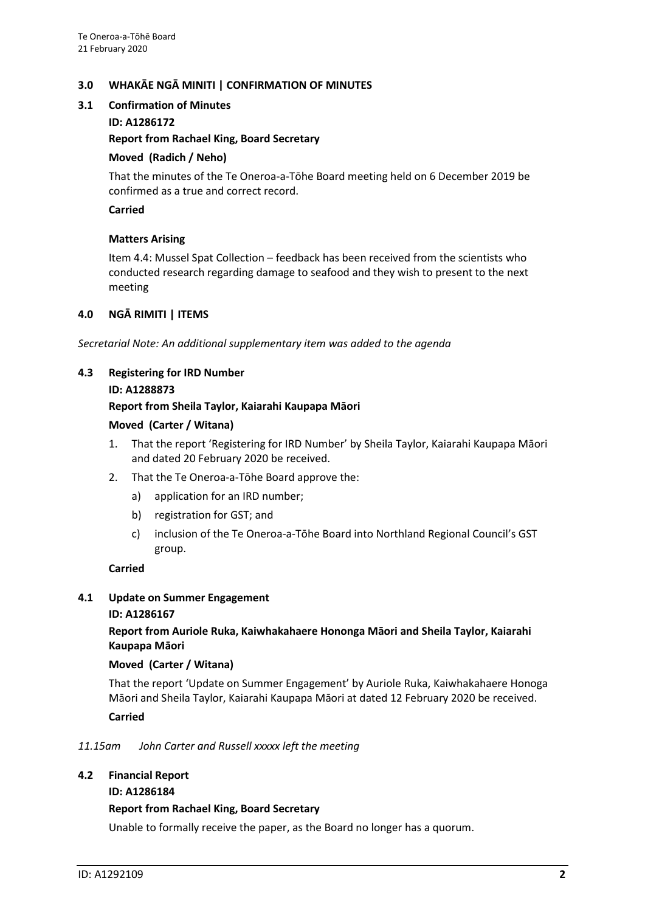# **3.0 WHAKĀE NGĀ MINITI | CONFIRMATION OF MINUTES**

#### **3.1 Confirmation of Minutes**

**ID: A1286172**

#### **Report from Rachael King, Board Secretary**

#### **Moved (Radich / Neho)**

That the minutes of the Te Oneroa-a-Tōhe Board meeting held on 6 December 2019 be confirmed as a true and correct record.

#### **Carried**

# **Matters Arising**

Item 4.4: Mussel Spat Collection – feedback has been received from the scientists who conducted research regarding damage to seafood and they wish to present to the next meeting

# **4.0 NGĀ RIMITI | ITEMS**

*Secretarial Note: An additional supplementary item was added to the agenda*

# **4.3 Registering for IRD Number**

#### **ID: A1288873**

#### **Report from Sheila Taylor, Kaiarahi Kaupapa Māori**

#### **Moved (Carter / Witana)**

- 1. That the report 'Registering for IRD Number' by Sheila Taylor, Kaiarahi Kaupapa Māori and dated 20 February 2020 be received.
- 2. That the Te Oneroa-a-Tōhe Board approve the:
	- a) application for an IRD number;
	- b) registration for GST; and
	- c) inclusion of the Te Oneroa-a-Tōhe Board into Northland Regional Council's GST group.

#### **Carried**

#### **4.1 Update on Summer Engagement ID: A1286167**

**Report from Auriole Ruka, Kaiwhakahaere Hononga Māori and Sheila Taylor, Kaiarahi Kaupapa Māori** 

#### **Moved (Carter / Witana)**

That the report 'Update on Summer Engagement' by Auriole Ruka, Kaiwhakahaere Honoga Māori and Sheila Taylor, Kaiarahi Kaupapa Māori at dated 12 February 2020 be received.

#### **Carried**

#### *11.15am John Carter and Russell xxxxx left the meeting*

#### **4.2 Financial Report**

#### **ID: A1286184**

#### **Report from Rachael King, Board Secretary**

Unable to formally receive the paper, as the Board no longer has a quorum.